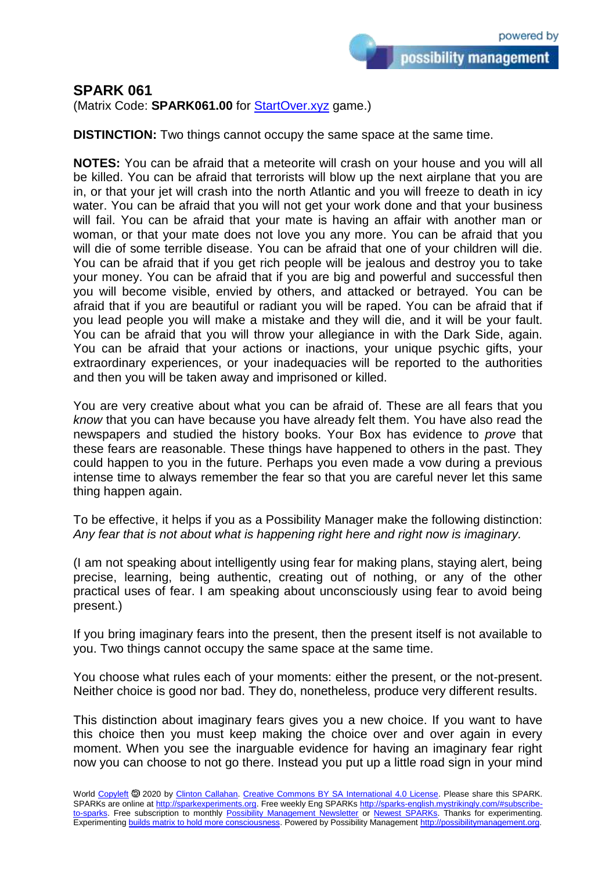possibility management

## **SPARK 061**

(Matrix Code: **SPARK061.00** for [StartOver.xyz](https://startoverxyz.mystrikingly.com/) game.)

**DISTINCTION:** Two things cannot occupy the same space at the same time.

**NOTES:** You can be afraid that a meteorite will crash on your house and you will all be killed. You can be afraid that terrorists will blow up the next airplane that you are in, or that your jet will crash into the north Atlantic and you will freeze to death in icy water. You can be afraid that you will not get your work done and that your business will fail. You can be afraid that your mate is having an affair with another man or woman, or that your mate does not love you any more. You can be afraid that you will die of some terrible disease. You can be afraid that one of your children will die. You can be afraid that if you get rich people will be jealous and destroy you to take your money. You can be afraid that if you are big and powerful and successful then you will become visible, envied by others, and attacked or betrayed. You can be afraid that if you are beautiful or radiant you will be raped. You can be afraid that if you lead people you will make a mistake and they will die, and it will be your fault. You can be afraid that you will throw your allegiance in with the Dark Side, again. You can be afraid that your actions or inactions, your unique psychic gifts, your extraordinary experiences, or your inadequacies will be reported to the authorities and then you will be taken away and imprisoned or killed.

You are very creative about what you can be afraid of. These are all fears that you *know* that you can have because you have already felt them. You have also read the newspapers and studied the history books. Your Box has evidence to *prove* that these fears are reasonable. These things have happened to others in the past. They could happen to you in the future. Perhaps you even made a vow during a previous intense time to always remember the fear so that you are careful never let this same thing happen again.

To be effective, it helps if you as a Possibility Manager make the following distinction: *Any fear that is not about what is happening right here and right now is imaginary.* 

(I am not speaking about intelligently using fear for making plans, staying alert, being precise, learning, being authentic, creating out of nothing, or any of the other practical uses of fear. I am speaking about unconsciously using fear to avoid being present.)

If you bring imaginary fears into the present, then the present itself is not available to you. Two things cannot occupy the same space at the same time.

You choose what rules each of your moments: either the present, or the not-present. Neither choice is good nor bad. They do, nonetheless, produce very different results.

This distinction about imaginary fears gives you a new choice. If you want to have this choice then you must keep making the choice over and over again in every moment. When you see the inarguable evidence for having an imaginary fear right now you can choose to not go there. Instead you put up a little road sign in your mind